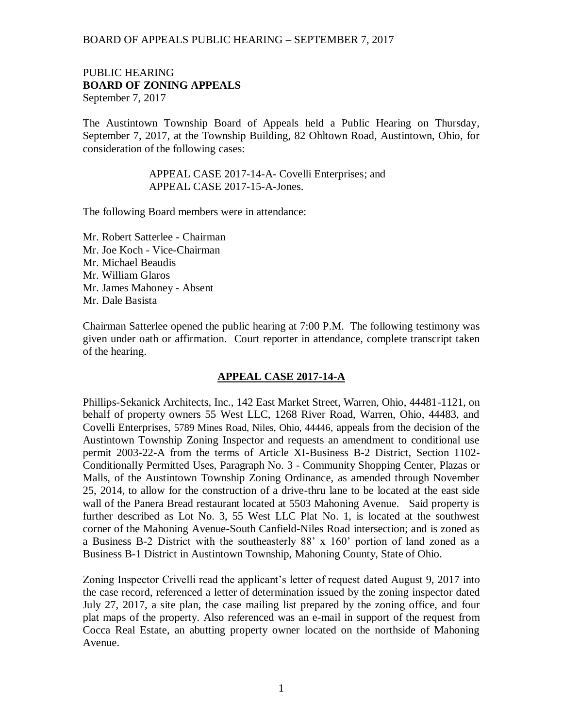#### PUBLIC HEARING **BOARD OF ZONING APPEALS**  September 7, 2017

The Austintown Township Board of Appeals held a Public Hearing on Thursday, September 7, 2017, at the Township Building, 82 Ohltown Road, Austintown, Ohio, for consideration of the following cases:

> APPEAL CASE 2017-14-A- Covelli Enterprises; and APPEAL CASE 2017-15-A-Jones.

The following Board members were in attendance:

Mr. Robert Satterlee - Chairman Mr. Joe Koch - Vice-Chairman Mr. Michael Beaudis Mr. William Glaros Mr. James Mahoney - Absent Mr. Dale Basista

Chairman Satterlee opened the public hearing at 7:00 P.M. The following testimony was given under oath or affirmation. Court reporter in attendance, complete transcript taken of the hearing.

#### **APPEAL CASE 2017-14-A**

Phillips-Sekanick Architects, Inc., 142 East Market Street, Warren, Ohio, 44481-1121, on behalf of property owners 55 West LLC, 1268 River Road, Warren, Ohio, 44483, and Covelli Enterprises, 5789 Mines Road, Niles, Ohio, 44446, appeals from the decision of the Austintown Township Zoning Inspector and requests an amendment to conditional use permit 2003-22-A from the terms of Article XI-Business B-2 District, Section 1102- Conditionally Permitted Uses, Paragraph No. 3 - Community Shopping Center, Plazas or Malls, of the Austintown Township Zoning Ordinance, as amended through November 25, 2014, to allow for the construction of a drive-thru lane to be located at the east side wall of the Panera Bread restaurant located at 5503 Mahoning Avenue. Said property is further described as Lot No. 3, 55 West LLC Plat No. 1, is located at the southwest corner of the Mahoning Avenue-South Canfield-Niles Road intersection; and is zoned as a Business B-2 District with the southeasterly 88' x 160' portion of land zoned as a Business B-1 District in Austintown Township, Mahoning County, State of Ohio.

Zoning Inspector Crivelli read the applicant's letter of request dated August 9, 2017 into the case record, referenced a letter of determination issued by the zoning inspector dated July 27, 2017, a site plan, the case mailing list prepared by the zoning office, and four plat maps of the property. Also referenced was an e-mail in support of the request from Cocca Real Estate, an abutting property owner located on the northside of Mahoning Avenue.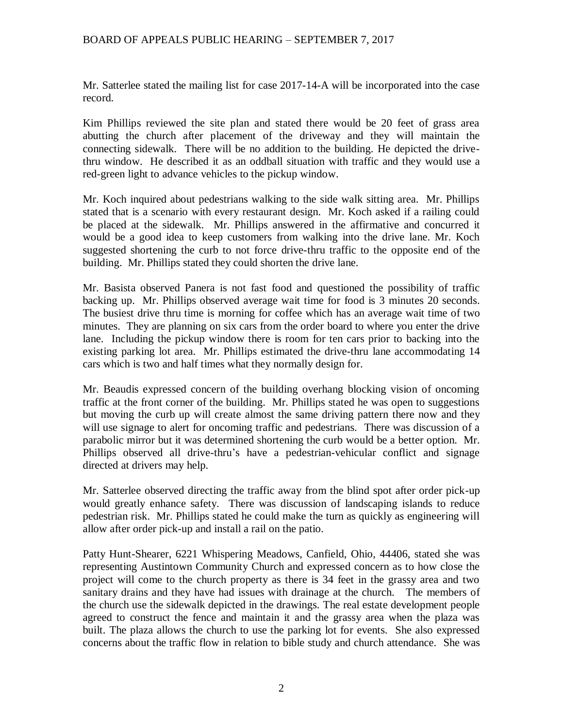Mr. Satterlee stated the mailing list for case 2017-14-A will be incorporated into the case record.

Kim Phillips reviewed the site plan and stated there would be 20 feet of grass area abutting the church after placement of the driveway and they will maintain the connecting sidewalk. There will be no addition to the building. He depicted the drivethru window. He described it as an oddball situation with traffic and they would use a red-green light to advance vehicles to the pickup window.

Mr. Koch inquired about pedestrians walking to the side walk sitting area. Mr. Phillips stated that is a scenario with every restaurant design. Mr. Koch asked if a railing could be placed at the sidewalk. Mr. Phillips answered in the affirmative and concurred it would be a good idea to keep customers from walking into the drive lane. Mr. Koch suggested shortening the curb to not force drive-thru traffic to the opposite end of the building. Mr. Phillips stated they could shorten the drive lane.

Mr. Basista observed Panera is not fast food and questioned the possibility of traffic backing up. Mr. Phillips observed average wait time for food is 3 minutes 20 seconds. The busiest drive thru time is morning for coffee which has an average wait time of two minutes. They are planning on six cars from the order board to where you enter the drive lane. Including the pickup window there is room for ten cars prior to backing into the existing parking lot area. Mr. Phillips estimated the drive-thru lane accommodating 14 cars which is two and half times what they normally design for.

Mr. Beaudis expressed concern of the building overhang blocking vision of oncoming traffic at the front corner of the building. Mr. Phillips stated he was open to suggestions but moving the curb up will create almost the same driving pattern there now and they will use signage to alert for oncoming traffic and pedestrians. There was discussion of a parabolic mirror but it was determined shortening the curb would be a better option. Mr. Phillips observed all drive-thru's have a pedestrian-vehicular conflict and signage directed at drivers may help.

Mr. Satterlee observed directing the traffic away from the blind spot after order pick-up would greatly enhance safety. There was discussion of landscaping islands to reduce pedestrian risk. Mr. Phillips stated he could make the turn as quickly as engineering will allow after order pick-up and install a rail on the patio.

Patty Hunt-Shearer, 6221 Whispering Meadows, Canfield, Ohio, 44406, stated she was representing Austintown Community Church and expressed concern as to how close the project will come to the church property as there is 34 feet in the grassy area and two sanitary drains and they have had issues with drainage at the church. The members of the church use the sidewalk depicted in the drawings. The real estate development people agreed to construct the fence and maintain it and the grassy area when the plaza was built. The plaza allows the church to use the parking lot for events. She also expressed concerns about the traffic flow in relation to bible study and church attendance. She was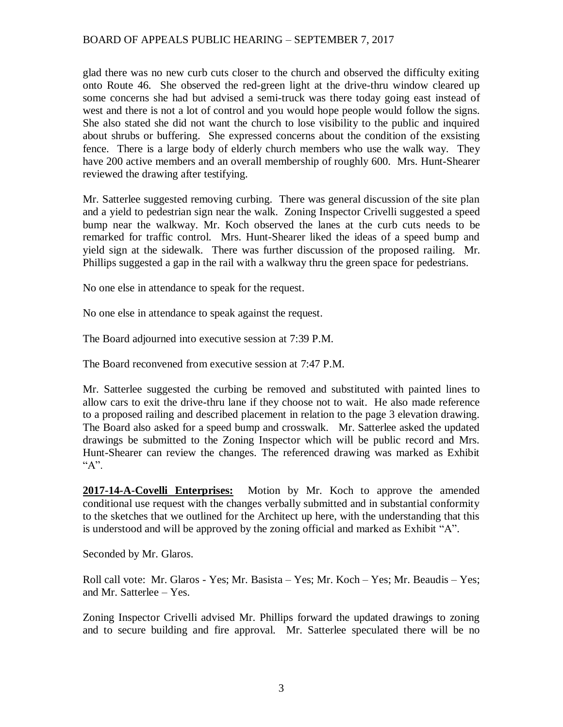glad there was no new curb cuts closer to the church and observed the difficulty exiting onto Route 46. She observed the red-green light at the drive-thru window cleared up some concerns she had but advised a semi-truck was there today going east instead of west and there is not a lot of control and you would hope people would follow the signs. She also stated she did not want the church to lose visibility to the public and inquired about shrubs or buffering. She expressed concerns about the condition of the exsisting fence. There is a large body of elderly church members who use the walk way. They have 200 active members and an overall membership of roughly 600. Mrs. Hunt-Shearer reviewed the drawing after testifying.

Mr. Satterlee suggested removing curbing. There was general discussion of the site plan and a yield to pedestrian sign near the walk. Zoning Inspector Crivelli suggested a speed bump near the walkway. Mr. Koch observed the lanes at the curb cuts needs to be remarked for traffic control. Mrs. Hunt-Shearer liked the ideas of a speed bump and yield sign at the sidewalk. There was further discussion of the proposed railing. Mr. Phillips suggested a gap in the rail with a walkway thru the green space for pedestrians.

No one else in attendance to speak for the request.

No one else in attendance to speak against the request.

The Board adjourned into executive session at 7:39 P.M.

The Board reconvened from executive session at 7:47 P.M.

Mr. Satterlee suggested the curbing be removed and substituted with painted lines to allow cars to exit the drive-thru lane if they choose not to wait. He also made reference to a proposed railing and described placement in relation to the page 3 elevation drawing. The Board also asked for a speed bump and crosswalk. Mr. Satterlee asked the updated drawings be submitted to the Zoning Inspector which will be public record and Mrs. Hunt-Shearer can review the changes. The referenced drawing was marked as Exhibit "A".

**2017-14-A-Covelli Enterprises:** Motion by Mr. Koch to approve the amended conditional use request with the changes verbally submitted and in substantial conformity to the sketches that we outlined for the Architect up here, with the understanding that this is understood and will be approved by the zoning official and marked as Exhibit "A".

Seconded by Mr. Glaros.

Roll call vote: Mr. Glaros - Yes; Mr. Basista – Yes; Mr. Koch – Yes; Mr. Beaudis – Yes; and Mr. Satterlee – Yes.

Zoning Inspector Crivelli advised Mr. Phillips forward the updated drawings to zoning and to secure building and fire approval. Mr. Satterlee speculated there will be no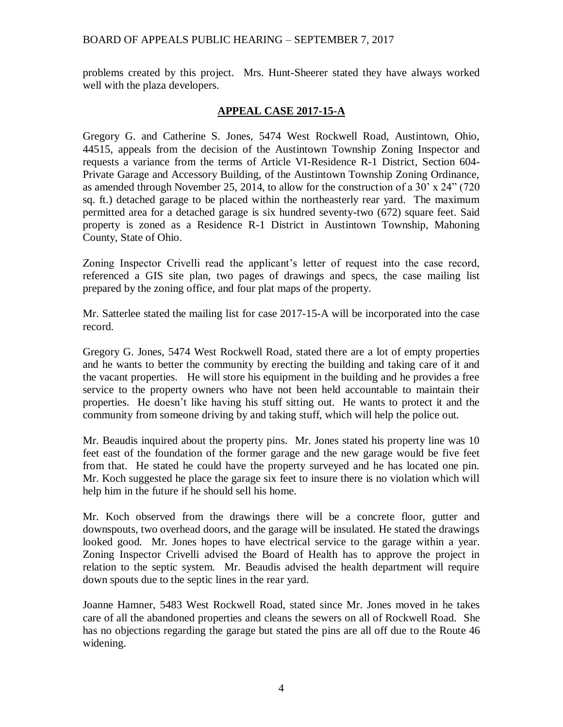problems created by this project. Mrs. Hunt-Sheerer stated they have always worked well with the plaza developers.

# **APPEAL CASE 2017-15-A**

Gregory G. and Catherine S. Jones, 5474 West Rockwell Road, Austintown, Ohio, 44515, appeals from the decision of the Austintown Township Zoning Inspector and requests a variance from the terms of Article VI-Residence R-1 District, Section 604- Private Garage and Accessory Building, of the Austintown Township Zoning Ordinance, as amended through November 25, 2014, to allow for the construction of a 30' x 24" (720 sq. ft.) detached garage to be placed within the northeasterly rear yard. The maximum permitted area for a detached garage is six hundred seventy-two (672) square feet. Said property is zoned as a Residence R-1 District in Austintown Township, Mahoning County, State of Ohio.

Zoning Inspector Crivelli read the applicant's letter of request into the case record, referenced a GIS site plan, two pages of drawings and specs, the case mailing list prepared by the zoning office, and four plat maps of the property.

Mr. Satterlee stated the mailing list for case 2017-15-A will be incorporated into the case record.

Gregory G. Jones, 5474 West Rockwell Road, stated there are a lot of empty properties and he wants to better the community by erecting the building and taking care of it and the vacant properties. He will store his equipment in the building and he provides a free service to the property owners who have not been held accountable to maintain their properties. He doesn't like having his stuff sitting out. He wants to protect it and the community from someone driving by and taking stuff, which will help the police out.

Mr. Beaudis inquired about the property pins. Mr. Jones stated his property line was 10 feet east of the foundation of the former garage and the new garage would be five feet from that. He stated he could have the property surveyed and he has located one pin. Mr. Koch suggested he place the garage six feet to insure there is no violation which will help him in the future if he should sell his home.

Mr. Koch observed from the drawings there will be a concrete floor, gutter and downspouts, two overhead doors, and the garage will be insulated. He stated the drawings looked good. Mr. Jones hopes to have electrical service to the garage within a year. Zoning Inspector Crivelli advised the Board of Health has to approve the project in relation to the septic system. Mr. Beaudis advised the health department will require down spouts due to the septic lines in the rear yard.

Joanne Hamner, 5483 West Rockwell Road, stated since Mr. Jones moved in he takes care of all the abandoned properties and cleans the sewers on all of Rockwell Road. She has no objections regarding the garage but stated the pins are all off due to the Route 46 widening.